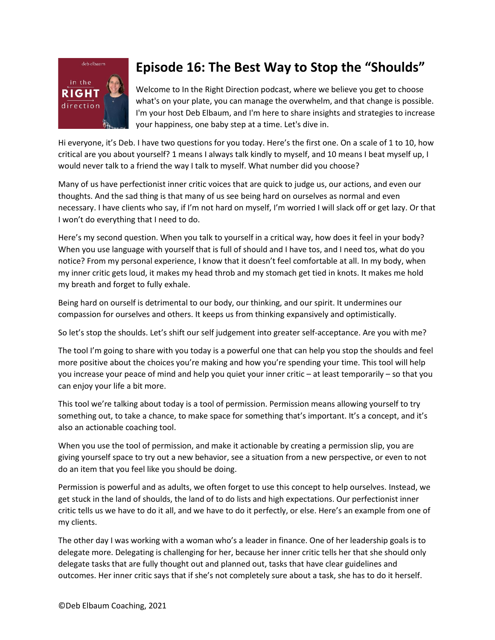

## **Episode 16: The Best Way to Stop the "Shoulds"**

Welcome to In the Right Direction podcast, where we believe you get to choose what's on your plate, you can manage the overwhelm, and that change is possible. I'm your host Deb Elbaum, and I'm here to share insights and strategies to increase your happiness, one baby step at a time. Let's dive in.

Hi everyone, it's Deb. I have two questions for you today. Here's the first one. On a scale of 1 to 10, how critical are you about yourself? 1 means I always talk kindly to myself, and 10 means I beat myself up, I would never talk to a friend the way I talk to myself. What number did you choose?

Many of us have perfectionist inner critic voices that are quick to judge us, our actions, and even our thoughts. And the sad thing is that many of us see being hard on ourselves as normal and even necessary. I have clients who say, if I'm not hard on myself, I'm worried I will slack off or get lazy. Or that I won't do everything that I need to do.

Here's my second question. When you talk to yourself in a critical way, how does it feel in your body? When you use language with yourself that is full of should and I have tos, and I need tos, what do you notice? From my personal experience, I know that it doesn't feel comfortable at all. In my body, when my inner critic gets loud, it makes my head throb and my stomach get tied in knots. It makes me hold my breath and forget to fully exhale.

Being hard on ourself is detrimental to our body, our thinking, and our spirit. It undermines our compassion for ourselves and others. It keeps us from thinking expansively and optimistically.

So let's stop the shoulds. Let's shift our self judgement into greater self-acceptance. Are you with me?

The tool I'm going to share with you today is a powerful one that can help you stop the shoulds and feel more positive about the choices you're making and how you're spending your time. This tool will help you increase your peace of mind and help you quiet your inner critic – at least temporarily – so that you can enjoy your life a bit more.

This tool we're talking about today is a tool of permission. Permission means allowing yourself to try something out, to take a chance, to make space for something that's important. It's a concept, and it's also an actionable coaching tool.

When you use the tool of permission, and make it actionable by creating a permission slip, you are giving yourself space to try out a new behavior, see a situation from a new perspective, or even to not do an item that you feel like you should be doing.

Permission is powerful and as adults, we often forget to use this concept to help ourselves. Instead, we get stuck in the land of shoulds, the land of to do lists and high expectations. Our perfectionist inner critic tells us we have to do it all, and we have to do it perfectly, or else. Here's an example from one of my clients.

The other day I was working with a woman who's a leader in finance. One of her leadership goals is to delegate more. Delegating is challenging for her, because her inner critic tells her that she should only delegate tasks that are fully thought out and planned out, tasks that have clear guidelines and outcomes. Her inner critic says that if she's not completely sure about a task, she has to do it herself.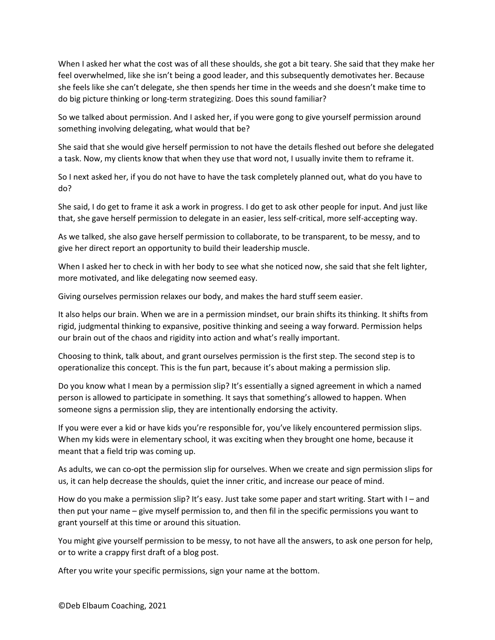When I asked her what the cost was of all these shoulds, she got a bit teary. She said that they make her feel overwhelmed, like she isn't being a good leader, and this subsequently demotivates her. Because she feels like she can't delegate, she then spends her time in the weeds and she doesn't make time to do big picture thinking or long-term strategizing. Does this sound familiar?

So we talked about permission. And I asked her, if you were gong to give yourself permission around something involving delegating, what would that be?

She said that she would give herself permission to not have the details fleshed out before she delegated a task. Now, my clients know that when they use that word not, I usually invite them to reframe it.

So I next asked her, if you do not have to have the task completely planned out, what do you have to do?

She said, I do get to frame it ask a work in progress. I do get to ask other people for input. And just like that, she gave herself permission to delegate in an easier, less self-critical, more self-accepting way.

As we talked, she also gave herself permission to collaborate, to be transparent, to be messy, and to give her direct report an opportunity to build their leadership muscle.

When I asked her to check in with her body to see what she noticed now, she said that she felt lighter, more motivated, and like delegating now seemed easy.

Giving ourselves permission relaxes our body, and makes the hard stuff seem easier.

It also helps our brain. When we are in a permission mindset, our brain shifts its thinking. It shifts from rigid, judgmental thinking to expansive, positive thinking and seeing a way forward. Permission helps our brain out of the chaos and rigidity into action and what's really important.

Choosing to think, talk about, and grant ourselves permission is the first step. The second step is to operationalize this concept. This is the fun part, because it's about making a permission slip.

Do you know what I mean by a permission slip? It's essentially a signed agreement in which a named person is allowed to participate in something. It says that something's allowed to happen. When someone signs a permission slip, they are intentionally endorsing the activity.

If you were ever a kid or have kids you're responsible for, you've likely encountered permission slips. When my kids were in elementary school, it was exciting when they brought one home, because it meant that a field trip was coming up.

As adults, we can co-opt the permission slip for ourselves. When we create and sign permission slips for us, it can help decrease the shoulds, quiet the inner critic, and increase our peace of mind.

How do you make a permission slip? It's easy. Just take some paper and start writing. Start with I – and then put your name – give myself permission to, and then fil in the specific permissions you want to grant yourself at this time or around this situation.

You might give yourself permission to be messy, to not have all the answers, to ask one person for help, or to write a crappy first draft of a blog post.

After you write your specific permissions, sign your name at the bottom.